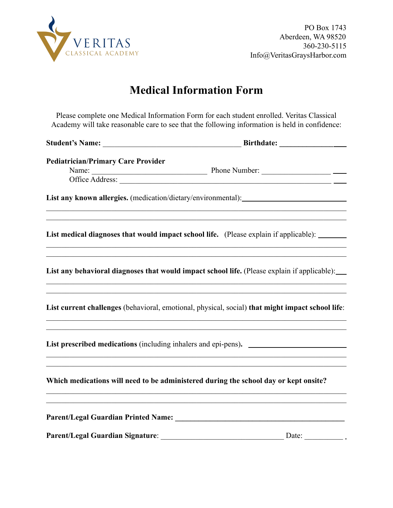

### **Medical Information Form**

Please complete one Medical Information Form for each student enrolled. Veritas Classical Academy will take reasonable care to see that the following information is held in confidence:

|                                                                                                                  | Birthdate: _______________                                                                                                                                                                                              |
|------------------------------------------------------------------------------------------------------------------|-------------------------------------------------------------------------------------------------------------------------------------------------------------------------------------------------------------------------|
| <b>Pediatrician/Primary Care Provider</b>                                                                        |                                                                                                                                                                                                                         |
|                                                                                                                  | List any known allergies. (medication/dietary/environmental): __________________                                                                                                                                        |
|                                                                                                                  | List medical diagnoses that would impact school life. (Please explain if applicable): ______<br><u> 1989 - Johann Stoff, amerikansk politiker (d. 1989)</u>                                                             |
|                                                                                                                  | List any behavioral diagnoses that would impact school life. (Please explain if applicable):__<br><u> 1989 - Johann Johann Stoff, deutscher Stoffen und der Stoffen und der Stoffen und der Stoffen und der Stoffen</u> |
|                                                                                                                  | <u> 1989 - Johann Stoff, amerikansk politiker (d. 1989)</u><br>List current challenges (behavioral, emotional, physical, social) that might impact school life:                                                         |
| and the control of the control of the control of the control of the control of the control of the control of the | List prescribed medications (including inhalers and epi-pens).                                                                                                                                                          |
|                                                                                                                  | Which medications will need to be administered during the school day or kept onsite?                                                                                                                                    |
|                                                                                                                  |                                                                                                                                                                                                                         |
|                                                                                                                  |                                                                                                                                                                                                                         |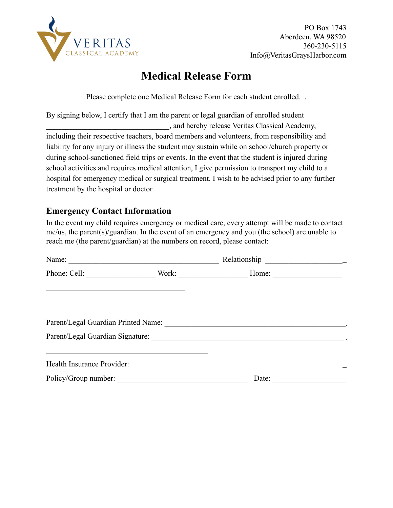

## **Medical Release Form**

Please complete one Medical Release Form for each student enrolled. .

By signing below, I certify that I am the parent or legal guardian of enrolled student \_\_\_\_\_\_\_\_\_\_\_\_\_\_\_\_\_\_\_\_\_\_\_\_\_\_\_\_\_\_\_\_, and hereby release Veritas Classical Academy, including their respective teachers, board members and volunteers, from responsibility and liability for any injury or illness the student may sustain while on school/church property or during school-sanctioned field trips or events. In the event that the student is injured during school activities and requires medical attention, I give permission to transport my child to a hospital for emergency medical or surgical treatment. I wish to be advised prior to any further treatment by the hospital or doctor.

### **Emergency Contact Information**

In the event my child requires emergency or medical care, every attempt will be made to contact me/us, the parent(s)/guardian. In the event of an emergency and you (the school) are unable to reach me (the parent/guardian) at the numbers on record, please contact:

| Phone: Cell:                                                |  |                                                                                                                |  |
|-------------------------------------------------------------|--|----------------------------------------------------------------------------------------------------------------|--|
| <u> 1989 - Johann Stoff, amerikansk politiker (d. 1989)</u> |  |                                                                                                                |  |
|                                                             |  |                                                                                                                |  |
|                                                             |  | Parent/Legal Guardian Signature: Manual Communication of the State of Taranta Communication of the State of Ta |  |
|                                                             |  |                                                                                                                |  |
|                                                             |  | Date:                                                                                                          |  |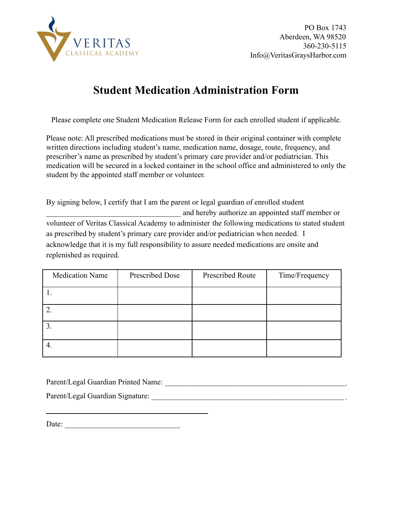

# **Student Medication Administration Form**

Please complete one Student Medication Release Form for each enrolled student if applicable.

Please note: All prescribed medications must be stored in their original container with complete written directions including student's name, medication name, dosage, route, frequency, and prescriber's name as prescribed by student's primary care provider and/or pediatrician. This medication will be secured in a locked container in the school office and administered to only the student by the appointed staff member or volunteer.

By signing below, I certify that I am the parent or legal guardian of enrolled student \_\_\_\_\_\_\_\_\_\_\_\_\_\_\_\_\_\_\_\_\_\_\_\_\_\_\_\_\_\_\_\_\_\_\_ and hereby authorize an appointed staff member or volunteer of Veritas Classical Academy to administer the following medications to stated student as prescribed by student's primary care provider and/or pediatrician when needed. I acknowledge that it is my full responsibility to assure needed medications are onsite and replenished as required.

| <b>Medication Name</b> | Prescribed Dose | Prescribed Route | Time/Frequency |
|------------------------|-----------------|------------------|----------------|
|                        |                 |                  |                |
|                        |                 |                  |                |
| J.                     |                 |                  |                |
|                        |                 |                  |                |

Parent/Legal Guardian Printed Name:

Parent/Legal Guardian Signature: \_\_\_\_\_\_\_\_\_\_\_\_\_\_\_\_\_\_\_\_\_\_\_\_\_\_\_\_\_\_\_\_\_\_\_\_\_\_\_\_\_\_\_\_\_\_\_\_\_\_

Date: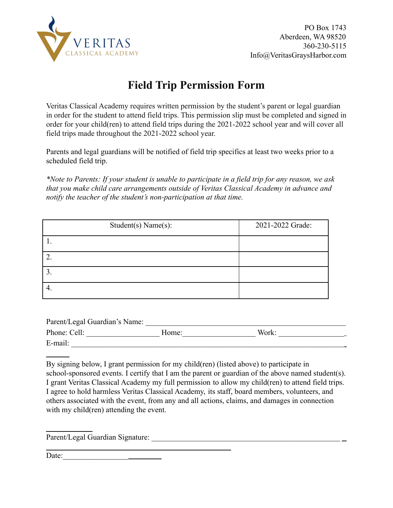

# **Field Trip Permission Form**

Veritas Classical Academy requires written permission by the student's parent or legal guardian in order for the student to attend field trips. This permission slip must be completed and signed in order for your child(ren) to attend field trips during the 2021-2022 school year and will cover all field trips made throughout the 2021-2022 school year.

Parents and legal guardians will be notified of field trip specifics at least two weeks prior to a scheduled field trip.

*\*Note to Parents: If your student is unable to participate in a field trip for any reason, we ask that you make child care arrangements outside of Veritas Classical Academy in advance and notify the teacher of the student's non-participation at that time.*

| Student(s) Name(s): | 2021-2022 Grade: |
|---------------------|------------------|
|                     |                  |
|                     |                  |
|                     |                  |
| 4.                  |                  |

| Parent/Legal Guardian's Name: |       |       |  |
|-------------------------------|-------|-------|--|
| Phone: Cell:                  | Home: | Work: |  |
| E-mail:                       |       |       |  |

By signing below, I grant permission for my child(ren) (listed above) to participate in school-sponsored events. I certify that I am the parent or guardian of the above named student(s). I grant Veritas Classical Academy my full permission to allow my child(ren) to attend field trips. I agree to hold harmless Veritas Classical Academy, its staff, board members, volunteers, and others associated with the event, from any and all actions, claims, and damages in connection with my child(ren) attending the event.

Parent/Legal Guardian Signature: \_\_\_\_\_\_\_\_\_\_\_\_\_\_\_\_\_\_\_\_\_\_\_\_\_\_\_\_\_\_\_\_\_\_\_\_\_\_\_\_\_\_\_\_\_\_\_\_\_

Date:

<u> 1980 - Johann Barn, mars ann an t-Amhain Aonaich an t-Aonaich an t-Aonaich ann an t-Aonaich ann an t-Aonaich</u>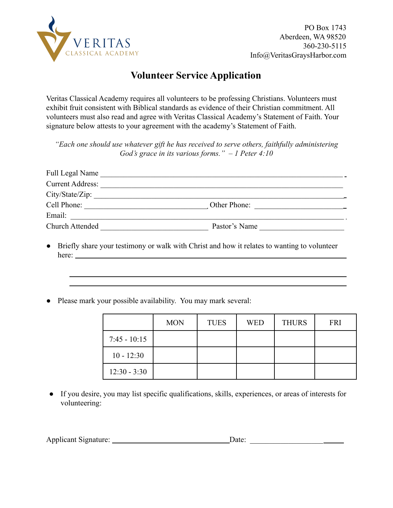

### **Volunteer Service Application**

Veritas Classical Academy requires all volunteers to be professing Christians. Volunteers must exhibit fruit consistent with Biblical standards as evidence of their Christian commitment. All volunteers must also read and agree with Veritas Classical Academy's Statement of Faith. Your signature below attests to your agreement with the academy's Statement of Faith.

*"Each one should use whatever gift he has received to serve others, faithfully administering God's grace in its various forms." – 1 Peter 4:10*

| Full Legal Name         |               |  |
|-------------------------|---------------|--|
| <b>Current Address:</b> |               |  |
| City/State/Zip:         |               |  |
| Cell Phone:             | Other Phone:  |  |
| Email:                  |               |  |
| Church Attended         | Pastor's Name |  |

- Briefly share your testimony or walk with Christ and how it relates to wanting to volunteer here:
- Please mark your possible availability. You may mark several:

|                | <b>MON</b> | <b>TUES</b> | <b>WED</b> | <b>THURS</b> | <b>FRI</b> |
|----------------|------------|-------------|------------|--------------|------------|
| $7:45 - 10:15$ |            |             |            |              |            |
| $10 - 12:30$   |            |             |            |              |            |
| $12:30 - 3:30$ |            |             |            |              |            |

● If you desire, you may list specific qualifications, skills, experiences, or areas of interests for volunteering:

| <b>Applicant Signature:</b> | )ate: |  |
|-----------------------------|-------|--|
|                             |       |  |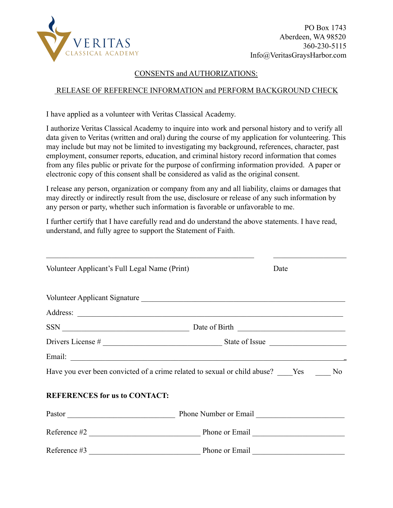

PO Box 1743 Aberdeen, WA 98520 360-230-5115 Info@VeritasGraysHarbor.com

#### CONSENTS and AUTHORIZATIONS:

#### RELEASE OF REFERENCE INFORMATION and PERFORM BACKGROUND CHECK

I have applied as a volunteer with Veritas Classical Academy.

I authorize Veritas Classical Academy to inquire into work and personal history and to verify all data given to Veritas (written and oral) during the course of my application for volunteering. This may include but may not be limited to investigating my background, references, character, past employment, consumer reports, education, and criminal history record information that comes from any files public or private for the purpose of confirming information provided. A paper or electronic copy of this consent shall be considered as valid as the original consent.

I release any person, organization or company from any and all liability, claims or damages that may directly or indirectly result from the use, disclosure or release of any such information by any person or party, whether such information is favorable or unfavorable to me.

I further certify that I have carefully read and do understand the above statements. I have read, understand, and fully agree to support the Statement of Faith.

| Volunteer Applicant's Full Legal Name (Print)                                               |                | Date |
|---------------------------------------------------------------------------------------------|----------------|------|
| Volunteer Applicant Signature                                                               |                |      |
|                                                                                             |                |      |
|                                                                                             |                |      |
|                                                                                             |                |      |
|                                                                                             |                |      |
| Have you ever been convicted of a crime related to sexual or child abuse? _____Yes ______No |                |      |
| <b>REFERENCES for us to CONTACT:</b>                                                        |                |      |
|                                                                                             |                |      |
|                                                                                             |                |      |
| Reference #3                                                                                | Phone or Email |      |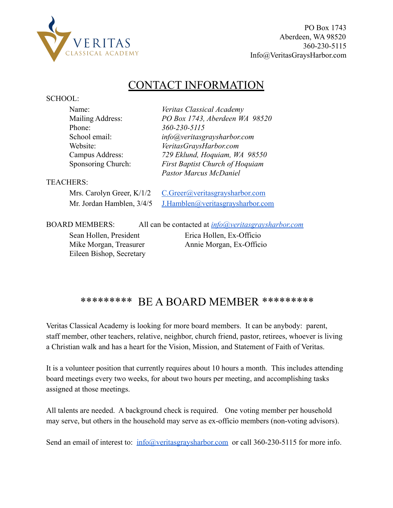

Eileen Bishop, Secretary

### CONTACT INFORMATION

#### SCHOOL:

| Name:                     | Veritas Classical Academy                                  |
|---------------------------|------------------------------------------------------------|
| Mailing Address:          | PO Box 1743, Aberdeen WA 98520                             |
| Phone:                    | 360-230-5115                                               |
| School email:             | info@yeritasgraysharbor.com                                |
| Website:                  | VeritasGraysHarbor.com                                     |
| Campus Address:           | 729 Eklund, Hoquiam, WA 98550                              |
| Sponsoring Church:        | <b>First Baptist Church of Hoquiam</b>                     |
|                           | <b>Pastor Marcus McDaniel</b>                              |
| <b>TEACHERS:</b>          |                                                            |
| Mrs. Carolyn Greer, K/1/2 | C.Greer@veritasgraysharbor.com                             |
| Mr. Jordan Hamblen, 3/4/5 | J.Hamblen@veritasgraysharbor.com                           |
| <b>BOARD MEMBERS:</b>     | All can be contacted at <i>info@yeritasgraysharbor.com</i> |
| Sean Hollen, President    | Erica Hollen, Ex-Officio                                   |
| Mike Morgan, Treasurer    | Annie Morgan, Ex-Officio                                   |

### \*\*\*\*\*\*\*\*\* BE A BOARD MEMBER \*\*\*\*\*\*\*\*\*

Veritas Classical Academy is looking for more board members. It can be anybody: parent, staff member, other teachers, relative, neighbor, church friend, pastor, retirees, whoever is living a Christian walk and has a heart for the Vision, Mission, and Statement of Faith of Veritas.

It is a volunteer position that currently requires about 10 hours a month. This includes attending board meetings every two weeks, for about two hours per meeting, and accomplishing tasks assigned at those meetings.

All talents are needed. A background check is required. One voting member per household may serve, but others in the household may serve as ex-officio members (non-voting advisors).

Send an email of interest to: [info@veritasgraysharbor.com](mailto:info@veritasgraysharbor.com) or call 360-230-5115 for more info.